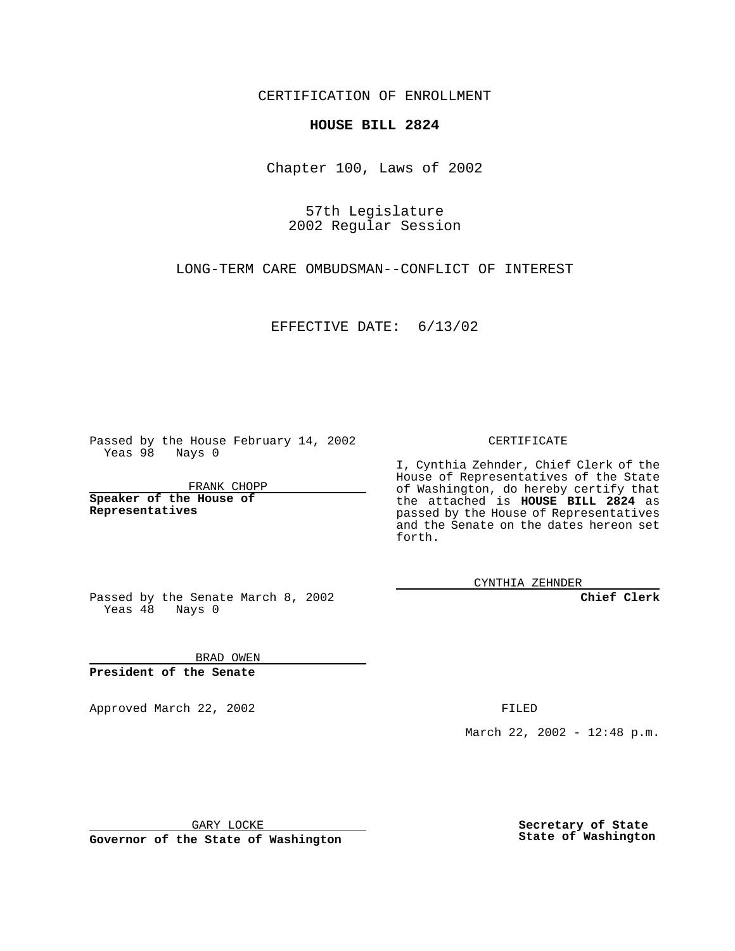CERTIFICATION OF ENROLLMENT

## **HOUSE BILL 2824**

Chapter 100, Laws of 2002

57th Legislature 2002 Regular Session

LONG-TERM CARE OMBUDSMAN--CONFLICT OF INTEREST

EFFECTIVE DATE: 6/13/02

Passed by the House February 14, 2002 Yeas 98 Nays 0

FRANK CHOPP

**Speaker of the House of Representatives**

CERTIFICATE

I, Cynthia Zehnder, Chief Clerk of the House of Representatives of the State of Washington, do hereby certify that the attached is **HOUSE BILL 2824** as passed by the House of Representatives and the Senate on the dates hereon set forth.

CYNTHIA ZEHNDER

**Chief Clerk**

Passed by the Senate March 8, 2002 Yeas  $48$  Nays 0

BRAD OWEN **President of the Senate**

Approved March 22, 2002 **FILED** 

March 22, 2002 - 12:48 p.m.

GARY LOCKE

**Governor of the State of Washington**

**Secretary of State State of Washington**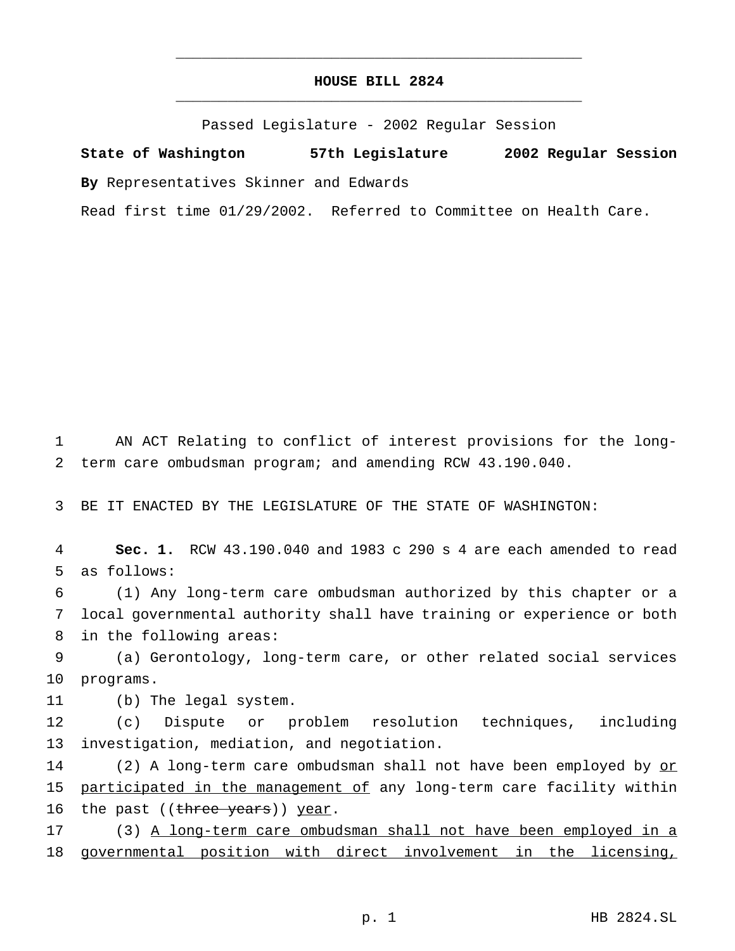## **HOUSE BILL 2824** \_\_\_\_\_\_\_\_\_\_\_\_\_\_\_\_\_\_\_\_\_\_\_\_\_\_\_\_\_\_\_\_\_\_\_\_\_\_\_\_\_\_\_\_\_\_\_

\_\_\_\_\_\_\_\_\_\_\_\_\_\_\_\_\_\_\_\_\_\_\_\_\_\_\_\_\_\_\_\_\_\_\_\_\_\_\_\_\_\_\_\_\_\_\_

Passed Legislature - 2002 Regular Session

**State of Washington 57th Legislature 2002 Regular Session By** Representatives Skinner and Edwards

Read first time 01/29/2002. Referred to Committee on Health Care.

1 AN ACT Relating to conflict of interest provisions for the long-2 term care ombudsman program; and amending RCW 43.190.040.

3 BE IT ENACTED BY THE LEGISLATURE OF THE STATE OF WASHINGTON:

4 **Sec. 1.** RCW 43.190.040 and 1983 c 290 s 4 are each amended to read 5 as follows:

6 (1) Any long-term care ombudsman authorized by this chapter or a 7 local governmental authority shall have training or experience or both 8 in the following areas:

9 (a) Gerontology, long-term care, or other related social services 10 programs.

11 (b) The legal system.

12 (c) Dispute or problem resolution techniques, including 13 investigation, mediation, and negotiation.

14 (2) A long-term care ombudsman shall not have been employed by or 15 participated in the management of any long-term care facility within 16 the past ((three years)) year.

17 (3) A long-term care ombudsman shall not have been employed in a 18 governmental position with direct involvement in the licensing,